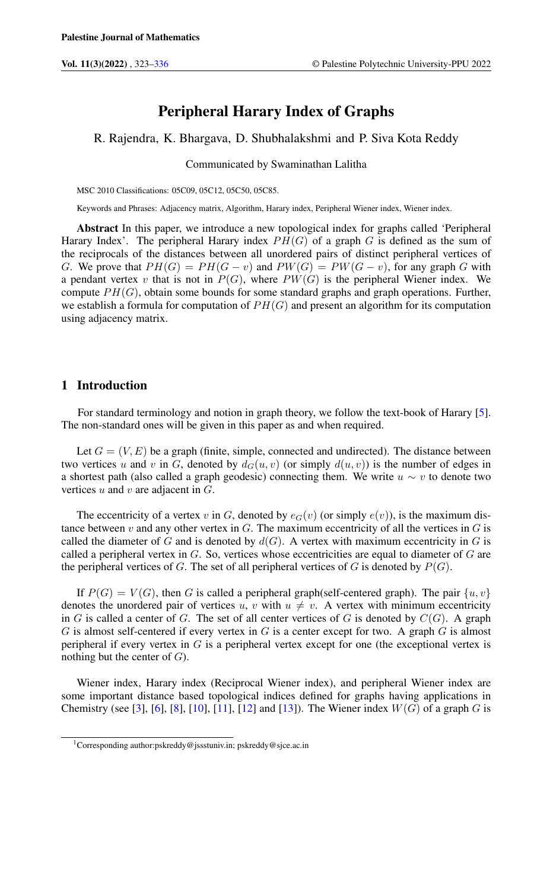# Peripheral Harary Index of Graphs

R. Rajendra, K. Bhargava, D. Shubhalakshmi and P. Siva Kota Reddy

Communicated by Swaminathan Lalitha

MSC 2010 Classifications: 05C09, 05C12, 05C50, 05C85.

Keywords and Phrases: Adjacency matrix, Algorithm, Harary index, Peripheral Wiener index, Wiener index.

Abstract In this paper, we introduce a new topological index for graphs called 'Peripheral Harary Index'. The peripheral Harary index  $PH(G)$  of a graph G is defined as the sum of the reciprocals of the distances between all unordered pairs of distinct peripheral vertices of G. We prove that  $PH(G) = PH(G - v)$  and  $PW(G) = PW(G - v)$ , for any graph G with a pendant vertex v that is not in  $P(G)$ , where  $PW(G)$  is the peripheral Wiener index. We compute  $PH(G)$ , obtain some bounds for some standard graphs and graph operations. Further, we establish a formula for computation of  $PH(G)$  and present an algorithm for its computation using adjacency matrix.

### 1 Introduction

For standard terminology and notion in graph theory, we follow the text-book of Harary [\[5\]](#page-12-1). The non-standard ones will be given in this paper as and when required.

Let  $G = (V, E)$  be a graph (finite, simple, connected and undirected). The distance between two vertices u and v in G, denoted by  $d_G(u, v)$  (or simply  $d(u, v)$ ) is the number of edges in a shortest path (also called a graph geodesic) connecting them. We write  $u \sim v$  to denote two vertices  $u$  and  $v$  are adjacent in  $G$ .

The eccentricity of a vertex v in G, denoted by  $e_G(v)$  (or simply  $e(v)$ ), is the maximum distance between  $v$  and any other vertex in  $G$ . The maximum eccentricity of all the vertices in  $G$  is called the diameter of G and is denoted by  $d(G)$ . A vertex with maximum eccentricity in G is called a peripheral vertex in  $G$ . So, vertices whose eccentricities are equal to diameter of  $G$  are the peripheral vertices of G. The set of all peripheral vertices of G is denoted by  $P(G)$ .

If  $P(G) = V(G)$ , then G is called a peripheral graph(self-centered graph). The pair  $\{u, v\}$ denotes the unordered pair of vertices u, v with  $u \neq v$ . A vertex with minimum eccentricity in G is called a center of G. The set of all center vertices of G is denoted by  $C(G)$ . A graph  $G$  is almost self-centered if every vertex in  $G$  is a center except for two. A graph  $G$  is almost peripheral if every vertex in  $G$  is a peripheral vertex except for one (the exceptional vertex is nothing but the center of  $G$ ).

Wiener index, Harary index (Reciprocal Wiener index), and peripheral Wiener index are some important distance based topological indices defined for graphs having applications in Chemistry (see [\[3\]](#page-12-2), [\[6\]](#page-12-3), [\[8\]](#page-12-4), [\[10\]](#page-13-0), [\[11\]](#page-13-1), [\[12\]](#page-13-2) and [\[13\]](#page-13-3)). The Wiener index  $W(G)$  of a graph G is

<sup>1</sup>Corresponding author:pskreddy@jssstuniv.in; pskreddy@sjce.ac.in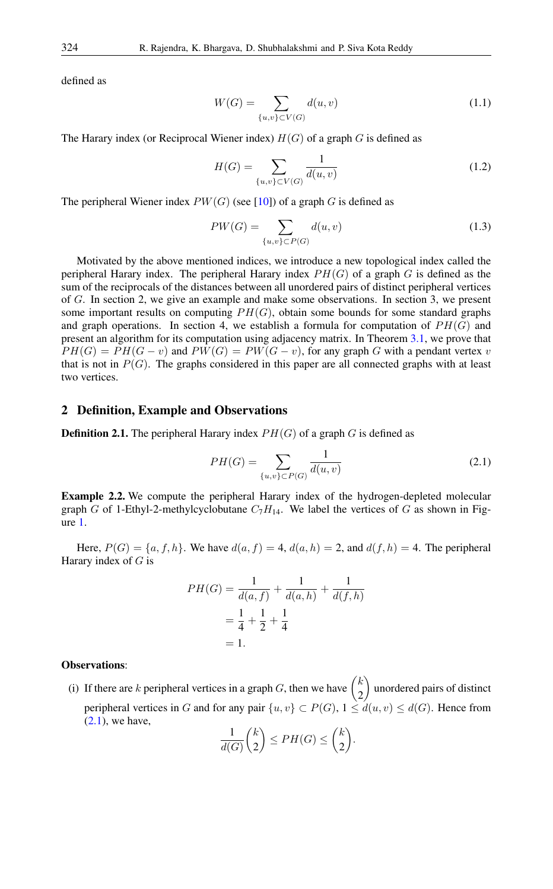defined as

$$
W(G) = \sum_{\{u,v\} \subset V(G)} d(u,v)
$$
\n(1.1)

The Harary index (or Reciprocal Wiener index)  $H(G)$  of a graph G is defined as

$$
H(G) = \sum_{\{u,v\} \subset V(G)} \frac{1}{d(u,v)}\tag{1.2}
$$

The peripheral Wiener index  $PW(G)$  (see [\[10\]](#page-13-0)) of a graph G is defined as

$$
PW(G) = \sum_{\{u,v\} \subset P(G)} d(u,v) \tag{1.3}
$$

Motivated by the above mentioned indices, we introduce a new topological index called the peripheral Harary index. The peripheral Harary index  $PH(G)$  of a graph G is defined as the sum of the reciprocals of the distances between all unordered pairs of distinct peripheral vertices of G. In section 2, we give an example and make some observations. In section 3, we present some important results on computing  $PH(G)$ , obtain some bounds for some standard graphs and graph operations. In section 4, we establish a formula for computation of  $PH(G)$  and present an algorithm for its computation using adjacency matrix. In Theorem [3.1,](#page-3-0) we prove that  $PH(G) = PH(G - v)$  and  $PW(G) = PW(G - v)$ , for any graph G with a pendant vertex v that is not in  $P(G)$ . The graphs considered in this paper are all connected graphs with at least two vertices.

### 2 Definition, Example and Observations

**Definition 2.1.** The peripheral Harary index  $PH(G)$  of a graph G is defined as

<span id="page-1-0"></span>
$$
PH(G) = \sum_{\{u,v\} \subset P(G)} \frac{1}{d(u,v)}\tag{2.1}
$$

Example 2.2. We compute the peripheral Harary index of the hydrogen-depleted molecular graph G of 1-Ethyl-2-methylcyclobutane  $C_7H_{14}$ . We label the vertices of G as shown in Figure [1.](#page-2-0)

Here,  $P(G) = \{a, f, h\}$ . We have  $d(a, f) = 4$ ,  $d(a, h) = 2$ , and  $d(f, h) = 4$ . The peripheral Harary index of  $G$  is

$$
PH(G) = \frac{1}{d(a, f)} + \frac{1}{d(a, h)} + \frac{1}{d(f, h)}
$$

$$
= \frac{1}{4} + \frac{1}{2} + \frac{1}{4}
$$

$$
= 1.
$$

### Observations:

(i) If there are k peripheral vertices in a graph G, then we have  $\begin{pmatrix} k \\ 2 \end{pmatrix}$ 2 unordered pairs of distinct peripheral vertices in G and for any pair  $\{u, v\} \subset P(G)$ ,  $1 \leq d(u, v) \leq d(G)$ . Hence from  $(2.1)$ , we have,

$$
\frac{1}{d(G)}\binom{k}{2} \le PH(G) \le \binom{k}{2}.
$$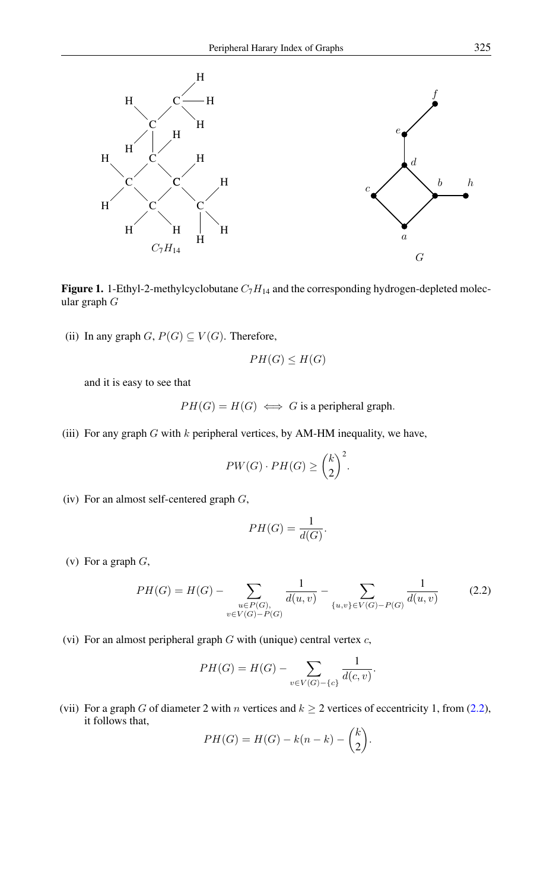

<span id="page-2-0"></span>Figure 1. 1-Ethyl-2-methylcyclobutane  $C_7H_{14}$  and the corresponding hydrogen-depleted molecular graph G

(ii) In any graph  $G, P(G) \subseteq V(G)$ . Therefore,

$$
PH(G) \leq H(G)
$$

and it is easy to see that

 $PH(G) = H(G) \iff G$  is a peripheral graph.

(iii) For any graph  $G$  with  $k$  peripheral vertices, by AM-HM inequality, we have,

$$
PW(G)\cdot PH(G) \geq \binom{k}{2}^2.
$$

(iv) For an almost self-centered graph  $G$ ,

<span id="page-2-1"></span>
$$
PH(G) = \frac{1}{d(G)}.
$$

(v) For a graph  $G$ ,

$$
PH(G) = H(G) - \sum_{\substack{u \in P(G), \\ v \in V(G) - P(G)}} \frac{1}{d(u,v)} - \sum_{\{u,v\} \in V(G) - P(G)} \frac{1}{d(u,v)} \tag{2.2}
$$

(vi) For an almost peripheral graph  $G$  with (unique) central vertex  $c$ ,

$$
PH(G) = H(G) - \sum_{v \in V(G) - \{c\}} \frac{1}{d(c, v)}.
$$

(vii) For a graph G of diameter 2 with n vertices and  $k \ge 2$  vertices of eccentricity 1, from [\(2.2\)](#page-2-1), it follows that,

$$
PH(G) = H(G) - k(n-k) - \binom{k}{2}.
$$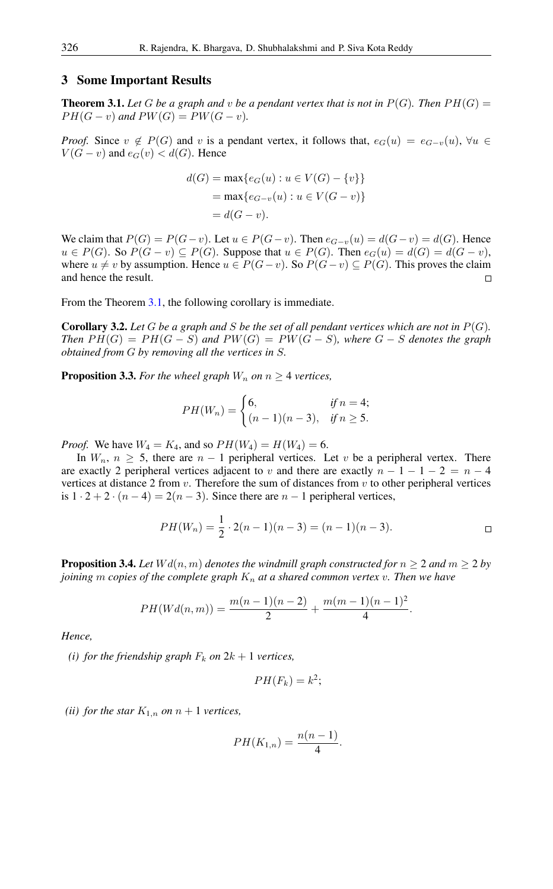### 3 Some Important Results

<span id="page-3-0"></span>**Theorem 3.1.** Let G be a graph and v be a pendant vertex that is not in  $P(G)$ . Then  $PH(G)$  $PH(G - v)$  and  $PW(G) = PW(G - v)$ .

*Proof.* Since  $v \notin P(G)$  and v is a pendant vertex, it follows that,  $e_G(u) = e_{G-v}(u)$ ,  $\forall u \in$  $V(G - v)$  and  $e_G(v) < d(G)$ . Hence

$$
d(G) = \max\{e_G(u) : u \in V(G) - \{v\}\}\
$$

$$
= \max\{e_{G-v}(u) : u \in V(G - v)\}\
$$

$$
= d(G - v).
$$

We claim that  $P(G) = P(G - v)$ . Let  $u \in P(G - v)$ . Then  $e_{G-v}(u) = d(G - v) = d(G)$ . Hence  $u \in P(G)$ . So  $P(G - v) \subseteq P(G)$ . Suppose that  $u \in P(G)$ . Then  $e_G(u) = d(G) = d(G - v)$ , where  $u \neq v$  by assumption. Hence  $u \in P(G - v)$ . So  $P(G - v) \subseteq P(G)$ . This proves the claim and hence the result.  $\Box$ 

From the Theorem [3.1,](#page-3-0) the following corollary is immediate.

**Corollary 3.2.** Let G be a graph and S be the set of all pendant vertices which are not in  $P(G)$ . *Then*  $PH(G) = PH(G - S)$  *and*  $PW(G) = PW(G - S)$ *, where*  $G - S$  *denotes the graph obtained from* G *by removing all the vertices in* S*.*

**Proposition 3.3.** *For the wheel graph*  $W_n$  *on*  $n \geq 4$  *vertices,* 

$$
PH(W_n) = \begin{cases} 6, & \text{if } n = 4; \\ (n-1)(n-3), & \text{if } n \ge 5. \end{cases}
$$

*Proof.* We have  $W_4 = K_4$ , and so  $PH(W_4) = H(W_4) = 6$ .

In  $W_n$ ,  $n \geq 5$ , there are  $n-1$  peripheral vertices. Let v be a peripheral vertex. There are exactly 2 peripheral vertices adjacent to v and there are exactly  $n - 1 - 1 - 2 = n - 4$ vertices at distance 2 from  $v$ . Therefore the sum of distances from  $v$  to other peripheral vertices is  $1 \cdot 2 + 2 \cdot (n-4) = 2(n-3)$ . Since there are  $n-1$  peripheral vertices,

$$
PH(W_n) = \frac{1}{2} \cdot 2(n-1)(n-3) = (n-1)(n-3).
$$

**Proposition 3.4.** Let  $Wd(n, m)$  denotes the windmill graph constructed for  $n \geq 2$  and  $m \geq 2$  by *joining* m *copies of the complete graph*  $K_n$  *at a shared common vertex v. Then we have* 

$$
PH(Wd(n, m)) = \frac{m(n - 1)(n - 2)}{2} + \frac{m(m - 1)(n - 1)^2}{4}.
$$

*Hence,*

*(i) for the friendship graph*  $F_k$  *on*  $2k + 1$  *vertices,* 

$$
PH(F_k)=k^2;
$$

*(ii) for the star*  $K_{1,n}$  *on*  $n+1$  *vertices,* 

$$
PH(K_{1,n})=\frac{n(n-1)}{4}.
$$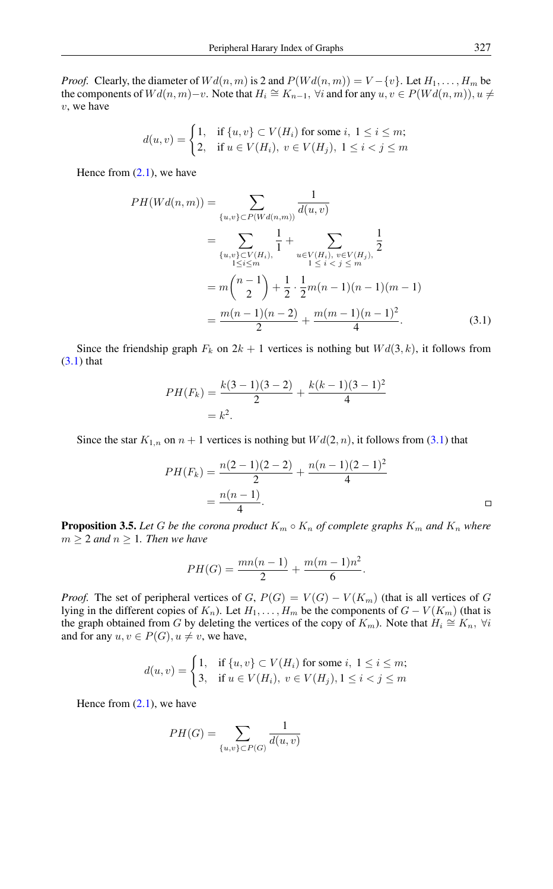*Proof.* Clearly, the diameter of  $Wd(n, m)$  is 2 and  $P(Wd(n, m)) = V - \{v\}$ . Let  $H_1, \ldots, H_m$  be the components of  $Wd(n, m)-v$ . Note that  $H_i \cong K_{n-1}$ ,  $\forall i$  and for any  $u, v \in P(Wd(n, m)), u \neq v$  $v$ , we have

$$
d(u, v) = \begin{cases} 1, & \text{if } \{u, v\} \subset V(H_i) \text{ for some } i, \ 1 \le i \le m; \\ 2, & \text{if } u \in V(H_i), \ v \in V(H_j), \ 1 \le i < j \le m \end{cases}
$$

Hence from  $(2.1)$ , we have

$$
PH(Wd(n, m)) = \sum_{\{u,v\} \subset P(Wd(n, m))} \frac{1}{d(u, v)}
$$
  
= 
$$
\sum_{\{u,v\} \subset V(H_i), \atop 1 \le i \le m} \frac{1}{1} + \sum_{u \in V(H_i), v \in V(H_j), \atop 1 \le i < j \le m} \frac{1}{2}
$$
  
= 
$$
m \binom{n-1}{2} + \frac{1}{2} \cdot \frac{1}{2} m(n-1)(n-1)(m-1)
$$
  
= 
$$
\frac{m(n-1)(n-2)}{2} + \frac{m(m-1)(n-1)^2}{4}.
$$
 (3.1)

Since the friendship graph  $F_k$  on  $2k + 1$  vertices is nothing but  $Wd(3, k)$ , it follows from  $(3.1)$  that

<span id="page-4-0"></span>
$$
PH(F_k) = \frac{k(3-1)(3-2)}{2} + \frac{k(k-1)(3-1)^2}{4}
$$
  
=  $k^2$ .

Since the star  $K_{1,n}$  on  $n+1$  vertices is nothing but  $Wd(2, n)$ , it follows from [\(3.1\)](#page-4-0) that

$$
PH(F_k) = \frac{n(2-1)(2-2)}{2} + \frac{n(n-1)(2-1)^2}{4}
$$

$$
= \frac{n(n-1)}{4}.
$$

**Proposition 3.5.** Let G be the corona product  $K_m \circ K_n$  of complete graphs  $K_m$  and  $K_n$  where  $m \geq 2$  *and*  $n \geq 1$ *. Then we have* 

$$
PH(G) = \frac{mn(n-1)}{2} + \frac{m(m-1)n^2}{6}.
$$

*Proof.* The set of peripheral vertices of G,  $P(G) = V(G) - V(K_m)$  (that is all vertices of G lying in the different copies of  $K_n$ ). Let  $H_1, \ldots, H_m$  be the components of  $G - V(K_m)$  (that is the graph obtained from G by deleting the vertices of the copy of  $K_m$ ). Note that  $H_i \cong K_n$ ,  $\forall i$ and for any  $u, v \in P(G)$ ,  $u \neq v$ , we have,

$$
d(u, v) = \begin{cases} 1, & \text{if } \{u, v\} \subset V(H_i) \text{ for some } i, \ 1 \le i \le m; \\ 3, & \text{if } u \in V(H_i), \ v \in V(H_j), 1 \le i < j \le m \end{cases}
$$

Hence from  $(2.1)$ , we have

$$
PH(G) = \sum_{\{u,v\} \subset P(G)} \frac{1}{d(u,v)}
$$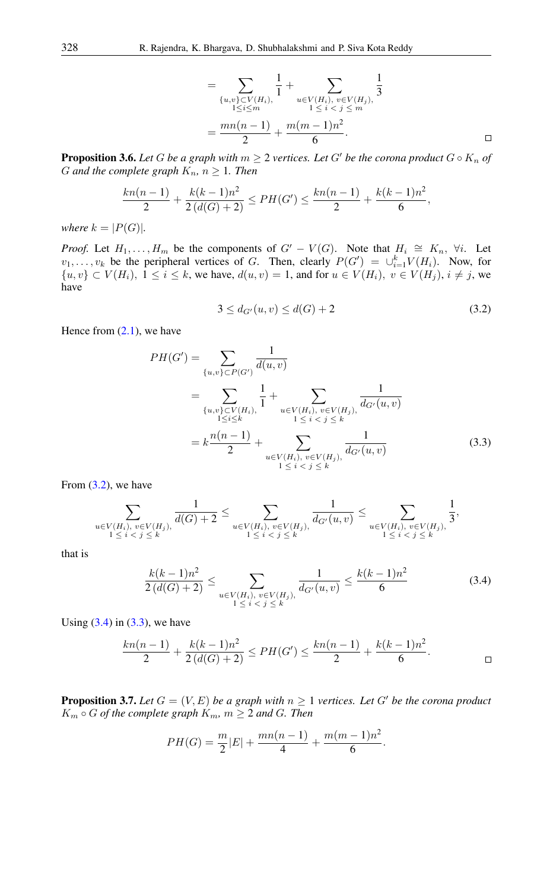$$
= \sum_{\substack{\{u,v\} \subset V(H_i), \\ 1 \le i \le m}} \frac{1}{1} + \sum_{\substack{u \in V(H_i), v \in V(H_j), \\ 1 \le i < j \le m}} \frac{1}{3}
$$

$$
= \frac{mn(n-1)}{2} + \frac{m(m-1)n^2}{6}.
$$

**Proposition 3.6.** Let G be a graph with  $m \geq 2$  vertices. Let G' be the corona product  $G \circ K_n$  of G and the complete graph  $K_n$ ,  $n \geq 1$ . Then

$$
\frac{kn(n-1)}{2} + \frac{k(k-1)n^2}{2(d(G)+2)} \leq PH(G') \leq \frac{kn(n-1)}{2} + \frac{k(k-1)n^2}{6},
$$

*where*  $k = |P(G)|$ *.* 

*Proof.* Let  $H_1, \ldots, H_m$  be the components of  $G' - V(G)$ . Note that  $H_i \cong K_n$ ,  $\forall i$ . Let  $v_1, \ldots, v_k$  be the peripheral vertices of G. Then, clearly  $P(G') = \bigcup_{i=1}^k V(H_i)$ . Now, for  $\{u, v\} \subset V(H_i)$ ,  $1 \leq i \leq k$ , we have,  $d(u, v) = 1$ , and for  $u \in V(H_i)$ ,  $v \in V(H_j)$ ,  $i \neq j$ , we have

<span id="page-5-2"></span><span id="page-5-0"></span>
$$
3 \le d_{G'}(u, v) \le d(G) + 2 \tag{3.2}
$$

Hence from  $(2.1)$ , we have

$$
PH(G') = \sum_{\{u,v\} \subset P(G') \atop 1 \le i \le k} \frac{1}{d(u,v)}
$$
  
= 
$$
\sum_{\{u,v\} \subset V(H_i), \atop 1 \le i \le k} \frac{1}{1} + \sum_{u \in V(H_i), v \in V(H_j), \atop 1 \le i < j \le k} \frac{1}{d_{G'}(u,v)}
$$
  
= 
$$
k \frac{n(n-1)}{2} + \sum_{u \in V(H_i), v \in V(H_j), \atop 1 \le i < j \le k} \frac{1}{d_{G'}(u,v)}
$$
(3.3)

From  $(3.2)$ , we have

$$
\sum_{u \in V(H_i), v \in V(H_j), \atop 1 \leq i < j \leq k} \frac{1}{d(G) + 2} \leq \sum_{u \in V(H_i), v \in V(H_j), \atop 1 \leq i < j \leq k} \frac{1}{d_{G'}(u, v)} \leq \sum_{u \in V(H_i), v \in V(H_j), \atop 1 \leq i < j \leq k} \frac{1}{3},
$$

that is

<span id="page-5-1"></span>
$$
\frac{k(k-1)n^2}{2\left(d(G)+2\right)} \le \sum_{\substack{u \in V(H_i), \ v \in V(H_j), \ d_{G'}(u,v) \\ 1 \le i < j \le k}} \frac{1}{d_{G'}(u,v)} \le \frac{k(k-1)n^2}{6} \tag{3.4}
$$

Using  $(3.4)$  in  $(3.3)$ , we have

$$
\frac{kn(n-1)}{2} + \frac{k(k-1)n^2}{2(d(G)+2)} \le PH(G') \le \frac{kn(n-1)}{2} + \frac{k(k-1)n^2}{6}.
$$

**Proposition 3.7.** Let  $G = (V, E)$  be a graph with  $n \geq 1$  vertices. Let G' be the corona product  $K_m \circ G$  *of the complete graph*  $K_m$ *,*  $m \geq 2$  *and G. Then* 

$$
PH(G) = \frac{m}{2}|E| + \frac{mn(n-1)}{4} + \frac{m(m-1)n^2}{6}.
$$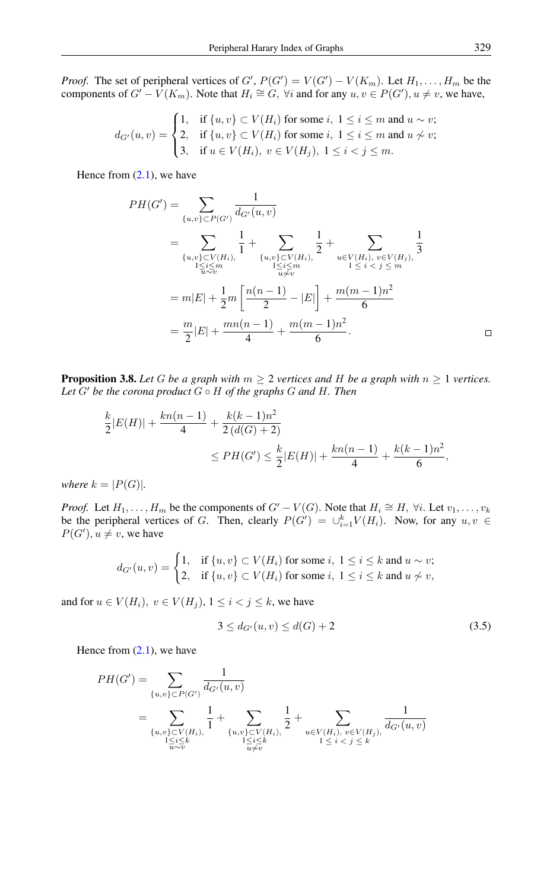*Proof.* The set of peripheral vertices of  $G'$ ,  $P(G') = V(G') - V(K_m)$ . Let  $H_1, \ldots, H_m$  be the components of  $G' - V(K_m)$ . Note that  $H_i \cong G$ ,  $\forall i$  and for any  $u, v \in P(G')$ ,  $u \neq v$ , we have,

$$
d_{G'}(u,v) = \begin{cases} 1, & \text{if } \{u,v\} \subset V(H_i) \text{ for some } i, \ 1 \le i \le m \text{ and } u \sim v; \\ 2, & \text{if } \{u,v\} \subset V(H_i) \text{ for some } i, \ 1 \le i \le m \text{ and } u \not\sim v; \\ 3, & \text{if } u \in V(H_i), \ v \in V(H_j), \ 1 \le i < j \le m. \end{cases}
$$

Hence from  $(2.1)$ , we have

$$
PH(G') = \sum_{\{u,v\} \subset P(G')} \frac{1}{d_{G'}(u,v)}
$$
  
= 
$$
\sum_{\{u,v\} \subset V(H_i), \atop 1 \le i \le m} \frac{1}{1} + \sum_{\{u,v\} \subset V(H_i), \atop 1 \le i \le m} \frac{1}{2} + \sum_{\substack{u \in V(H_i), \, v \in V(H_j), \, 3 \le i \le m \\ 1 \le i < j \le m}} \frac{1}{3}
$$
  
= 
$$
m|E| + \frac{1}{2}m \left[ \frac{n(n-1)}{2} - |E| \right] + \frac{m(m-1)n^2}{6}
$$
  
= 
$$
\frac{m}{2}|E| + \frac{mn(n-1)}{4} + \frac{m(m-1)n^2}{6}.
$$

**Proposition 3.8.** *Let* G *be a graph with*  $m \geq 2$  *vertices and* H *be a graph with*  $n \geq 1$  *vertices. Let*  $G'$  *be the corona product*  $G \circ H$  *of the graphs*  $G$  *and*  $H$ *. Then* 

$$
\frac{k}{2}|E(H)| + \frac{kn(n-1)}{4} + \frac{k(k-1)n^2}{2(d(G)+2)}
$$
  
\n
$$
\leq PH(G') \leq \frac{k}{2}|E(H)| + \frac{kn(n-1)}{4} + \frac{k(k-1)n^2}{6},
$$

*where*  $k = |P(G)|$ *.* 

*Proof.* Let  $H_1, \ldots, H_m$  be the components of  $G' - V(G)$ . Note that  $H_i \cong H$ ,  $\forall i$ . Let  $v_1, \ldots, v_k$ be the peripheral vertices of G. Then, clearly  $P(G') = \bigcup_{i=1}^{k} V(H_i)$ . Now, for any  $u, v \in$  $P(G')$ ,  $u \neq v$ , we have

$$
d_{G'}(u,v) = \begin{cases} 1, & \text{if } \{u,v\} \subset V(H_i) \text{ for some } i, \ 1 \le i \le k \text{ and } u \sim v; \\ 2, & \text{if } \{u,v\} \subset V(H_i) \text{ for some } i, \ 1 \le i \le k \text{ and } u \not\sim v, \end{cases}
$$

and for  $u \in V(H_i)$ ,  $v \in V(H_j)$ ,  $1 \leq i < j \leq k$ , we have

<span id="page-6-0"></span>
$$
3 \le d_{G'}(u, v) \le d(G) + 2 \tag{3.5}
$$

Hence from  $(2.1)$ , we have

$$
PH(G') = \sum_{\{u,v\} \subset P(G') \atop \{u,v\} \subset V(H_i), \atop 1 \le i \le k} \frac{1}{1} + \sum_{\{u,v\} \subset V(H_i), \atop 1 \le i \le k} \frac{1}{2} + \sum_{\substack{u \in V(H_i), \ v \in V(H_j), \atop 1 \le i < j \le k}} \frac{1}{d_{G'}(u,v)}
$$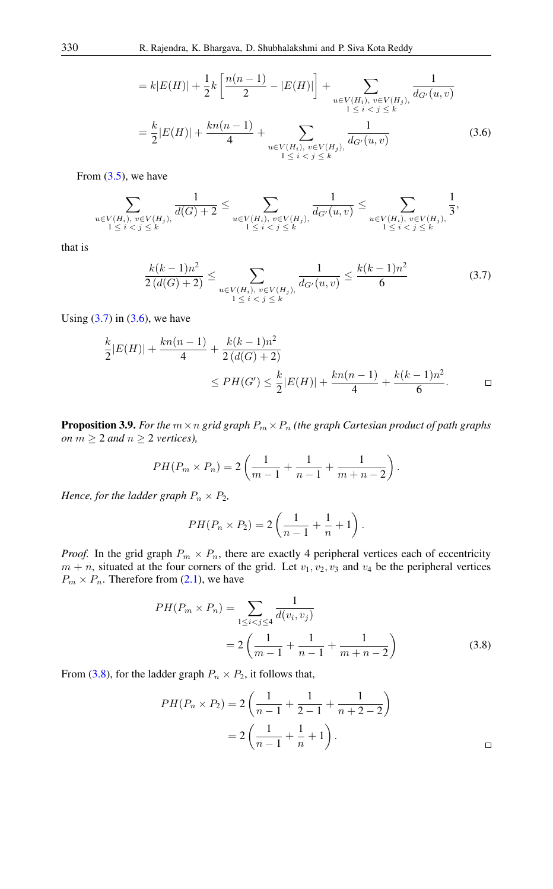<span id="page-7-1"></span>
$$
= k|E(H)| + \frac{1}{2}k\left[\frac{n(n-1)}{2} - |E(H)|\right] + \sum_{\substack{u \in V(H_i), v \in V(H_j), \\ 1 \le i < j \le k}} \frac{1}{d_{G'}(u,v)}
$$
\n
$$
= \frac{k}{2}|E(H)| + \frac{kn(n-1)}{4} + \sum_{\substack{u \in V(H_i), v \in V(H_j), \\ 1 \le i < j \le k}} \frac{1}{d_{G'}(u,v)}\tag{3.6}
$$

From  $(3.5)$ , we have

$$
\sum_{\substack{u \in V(H_i), v \in V(H_j), \ 1 \leq i < j \leq k}} \frac{1}{d(G) + 2} \leq \sum_{\substack{u \in V(H_i), v \in V(H_j), \ dG'(u,v) \\ 1 \leq i < j \leq k}} \frac{1}{d_{G'}(u,v)} \leq \sum_{\substack{u \in V(H_i), v \in V(H_j), \ 3}} \frac{1}{3},
$$

that is

<span id="page-7-0"></span>
$$
\frac{k(k-1)n^2}{2\left(d(G)+2\right)} \le \sum_{\substack{u \in V(H_i), \ v \in V(H_j), \ d_{G'}(u,v) \\ 1 \le i < j \le k}} \frac{1}{d_{G'}(u,v)} \le \frac{k(k-1)n^2}{6} \tag{3.7}
$$

Using  $(3.7)$  in  $(3.6)$ , we have

$$
\frac{k}{2}|E(H)| + \frac{kn(n-1)}{4} + \frac{k(k-1)n^2}{2(d(G)+2)}
$$
  
\n
$$
\leq PH(G') \leq \frac{k}{2}|E(H)| + \frac{kn(n-1)}{4} + \frac{k(k-1)n^2}{6}.
$$

**Proposition 3.9.** For the  $m \times n$  grid graph  $P_m \times P_n$  *(the graph Cartesian product of path graphs*) *on*  $m \geq 2$  *and*  $n \geq 2$  *vertices)*,

$$
PH(P_m \times P_n) = 2\left(\frac{1}{m-1} + \frac{1}{n-1} + \frac{1}{m+n-2}\right).
$$

*Hence, for the ladder graph*  $P_n \times P_2$ *,* 

<span id="page-7-2"></span>
$$
PH(P_n \times P_2) = 2\left(\frac{1}{n-1} + \frac{1}{n} + 1\right).
$$

*Proof.* In the grid graph  $P_m \times P_n$ , there are exactly 4 peripheral vertices each of eccentricity  $m + n$ , situated at the four corners of the grid. Let  $v_1, v_2, v_3$  and  $v_4$  be the peripheral vertices  $P_m \times P_n$ . Therefore from [\(2.1\)](#page-1-0), we have

$$
PH(P_m \times P_n) = \sum_{1 \le i < j \le 4} \frac{1}{d(v_i, v_j)}
$$
\n
$$
= 2\left(\frac{1}{m-1} + \frac{1}{n-1} + \frac{1}{m+n-2}\right) \tag{3.8}
$$

From [\(3.8\)](#page-7-2), for the ladder graph  $P_n \times P_2$ , it follows that,

$$
PH(P_n \times P_2) = 2\left(\frac{1}{n-1} + \frac{1}{2-1} + \frac{1}{n+2-2}\right)
$$

$$
= 2\left(\frac{1}{n-1} + \frac{1}{n} + 1\right).
$$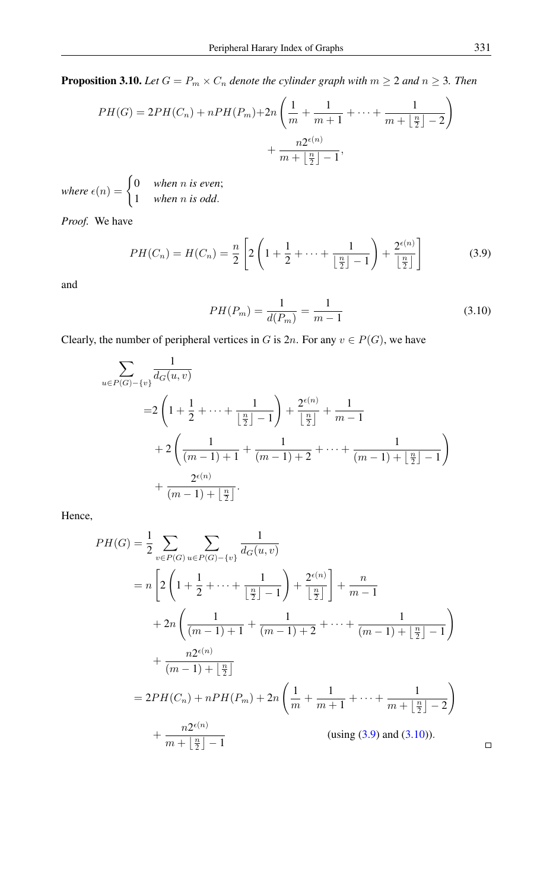**Proposition 3.10.** *Let*  $G = P_m \times C_n$  *denote the cylinder graph with*  $m \geq 2$  *and*  $n \geq 3$ *. Then* 

$$
PH(G) = 2PH(C_n) + nPH(P_m) + 2n\left(\frac{1}{m} + \frac{1}{m+1} + \dots + \frac{1}{m+\lfloor \frac{n}{2} \rfloor - 2}\right) + \frac{n2^{\epsilon(n)}}{m+\lfloor \frac{n}{2} \rfloor - 1},
$$

where  $\epsilon(n) = \begin{cases} 0 & \text{when } n \text{ is even;} \\ 1 & \text{otherwise.} \end{cases}$ 1 *when* n *is odd*.

*Proof.* We have

$$
PH(C_n) = H(C_n) = \frac{n}{2} \left[ 2 \left( 1 + \frac{1}{2} + \dots + \frac{1}{\left\lfloor \frac{n}{2} \right\rfloor - 1} \right) + \frac{2^{\epsilon(n)}}{\left\lfloor \frac{n}{2} \right\rfloor} \right]
$$
(3.9)

and

<span id="page-8-1"></span><span id="page-8-0"></span>
$$
PH(P_m) = \frac{1}{d(P_m)} = \frac{1}{m-1}
$$
\n(3.10)

Clearly, the number of peripheral vertices in G is  $2n$ . For any  $v \in P(G)$ , we have

$$
\sum_{u \in P(G) - \{v\}} \frac{1}{d_G(u, v)}
$$
\n
$$
= 2\left(1 + \frac{1}{2} + \dots + \frac{1}{\left\lfloor\frac{n}{2}\right\rfloor - 1}\right) + \frac{2^{\epsilon(n)}}{\left\lfloor\frac{n}{2}\right\rfloor} + \frac{1}{m - 1}
$$
\n
$$
+ 2\left(\frac{1}{(m - 1) + 1} + \frac{1}{(m - 1) + 2} + \dots + \frac{1}{(m - 1) + \left\lfloor\frac{n}{2}\right\rfloor - 1}\right) + \frac{2^{\epsilon(n)}}{(m - 1) + \left\lfloor\frac{n}{2}\right\rfloor}.
$$

Hence,

$$
PH(G) = \frac{1}{2} \sum_{v \in P(G)} \sum_{u \in P(G) - \{v\}} \frac{1}{d_G(u, v)}
$$
  
=  $n \left[ 2 \left( 1 + \frac{1}{2} + \dots + \frac{1}{\left\lfloor \frac{n}{2} \right\rfloor - 1} \right) + \frac{2^{\epsilon(n)}}{\left\lfloor \frac{n}{2} \right\rfloor} \right] + \frac{n}{m - 1}$   
+  $2n \left( \frac{1}{(m - 1) + 1} + \frac{1}{(m - 1) + 2} + \dots + \frac{1}{(m - 1) + \left\lfloor \frac{n}{2} \right\rfloor - 1} \right)$   
+  $\frac{n2^{\epsilon(n)}}{(m - 1) + \left\lfloor \frac{n}{2} \right\rfloor}$   
=  $2PH(C_n) + nPH(P_m) + 2n \left( \frac{1}{m} + \frac{1}{m + 1} + \dots + \frac{1}{m + \left\lfloor \frac{n}{2} \right\rfloor - 2} \right)$   
+  $\frac{n2^{\epsilon(n)}}{m + \left\lfloor \frac{n}{2} \right\rfloor - 1}$  (using (3.9) and (3.10)).

 $\Box$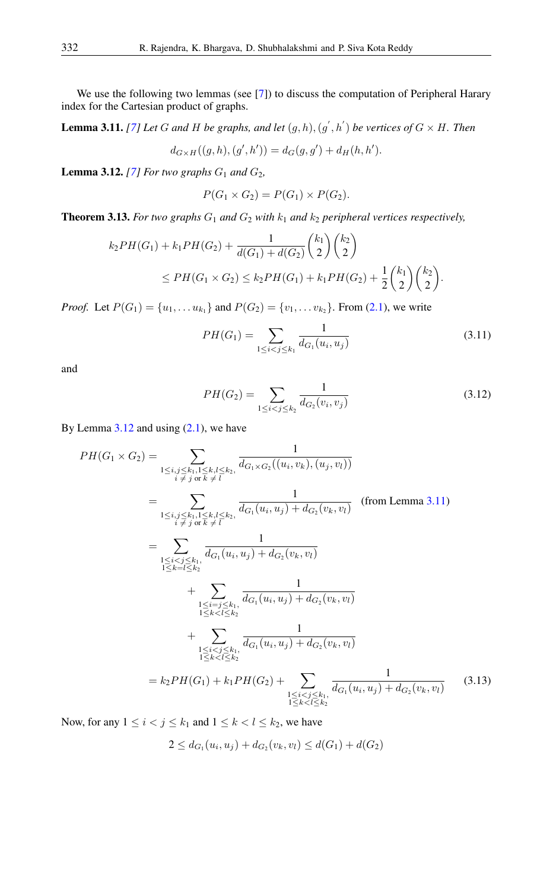We use the following two lemmas (see [\[7\]](#page-12-5)) to discuss the computation of Peripheral Harary index for the Cartesian product of graphs.

<span id="page-9-1"></span>**Lemma 3.11.** [\[7\]](#page-12-5) Let G and H be graphs, and let  $(g,h), (g^{'},h^{'})$  be vertices of  $G \times H$ . Then

$$
d_{G \times H}((g, h), (g', h')) = d_G(g, g') + d_H(h, h').
$$

<span id="page-9-0"></span>**Lemma 3.12.** [\[7\]](#page-12-5) For two graphs  $G_1$  and  $G_2$ ,

$$
P(G_1 \times G_2) = P(G_1) \times P(G_2).
$$

<span id="page-9-3"></span>**Theorem 3.13.** For two graphs  $G_1$  and  $G_2$  with  $k_1$  and  $k_2$  peripheral vertices respectively,

$$
k_2 PH(G_1) + k_1 PH(G_2) + \frac{1}{d(G_1) + d(G_2)} {k_1 \choose 2} {k_2 \choose 2}
$$
  
\n
$$
\le PH(G_1 \times G_2) \le k_2 PH(G_1) + k_1 PH(G_2) + \frac{1}{2} {k_1 \choose 2} {k_2 \choose 2}.
$$

*Proof.* Let  $P(G_1) = \{u_1, \ldots u_{k_1}\}\$  and  $P(G_2) = \{v_1, \ldots v_{k_2}\}\$ . From [\(2.1\)](#page-1-0), we write

$$
PH(G_1) = \sum_{1 \le i < j \le k_1} \frac{1}{d_{G_1}(u_i, u_j)}\tag{3.11}
$$

and

$$
PH(G_2) = \sum_{1 \le i < j \le k_2} \frac{1}{d_{G_2}(v_i, v_j)}\tag{3.12}
$$

By Lemma  $3.12$  and using  $(2.1)$ , we have

$$
PH(G_1 \times G_2) = \sum_{\substack{1 \le i, j \le k, 1 \le k, l \le k, \\ i \neq j \text{ or } k \neq l}} \frac{1}{d_{G_1 \times G_2}((u_i, v_k), (u_j, v_l))}
$$
\n
$$
= \sum_{\substack{1 \le i, j \le k, 1, l \le k, l \le k, \\ i \neq j \text{ or } k \neq l}} \frac{1}{d_{G_1}(u_i, u_j) + d_{G_2}(v_k, v_l)} \quad \text{(from Lemma 3.11)}
$$
\n
$$
= \sum_{\substack{1 \le i < j \le k, \\ 1 \le k \le l \le k, \\ 1 \le k \le l \le k, \\ 1 \le k \le l \le k, \\ 1 \le k < l \le k \le l}} \frac{1}{d_{G_1}(u_i, u_j) + d_{G_2}(v_k, v_l)} + \sum_{\substack{1 \le i = j \le k, \\ 1 \le k < l \le k, \\ 1 \le k < l \le k, \\ 1 \le k < l \le k, \\ 1 \le k < l \le k, \\ 1 \le k < l \le k, \\ 1 \le k < l \le k, \\ 1 \le k < l \le k, \\ 1 \le k < l \le k, \end{cases}
$$
\n
$$
= k_2 PH(G_1) + k_1 PH(G_2) + \sum_{\substack{1 \le i < j \le k, \\ 1 \le k < l \le k, \\ 1 \le k < l \le k, \\ 1 \le k < l \le k, \\ 1 \le k < l \le k, \\ 1 \le k < l \le k, \end{cases}
$$
\n(3.13)

Now, for any  $1 \le i < j \le k_1$  and  $1 \le k < l \le k_2$ , we have

<span id="page-9-2"></span>
$$
2 \le d_{G_1}(u_i, u_j) + d_{G_2}(v_k, v_l) \le d(G_1) + d(G_2)
$$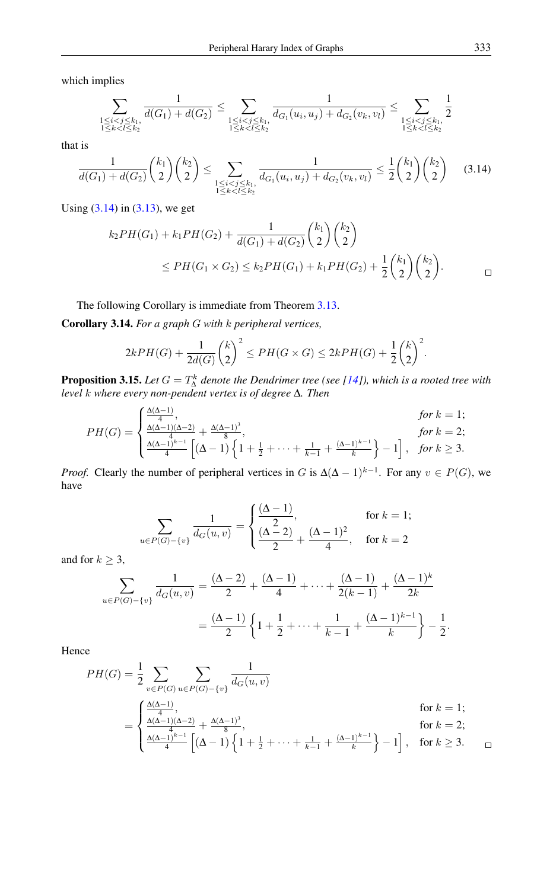which implies

$$
\sum_{\substack{1 \le i < j \le k_1, \\ 1 \le k < l \le k_2}} \frac{1}{d(G_1) + d(G_2)} \le \sum_{\substack{1 \le i < j \le k_1, \\ 1 \le k < l \le k_2}} \frac{1}{d_{G_1}(u_i, u_j) + d_{G_2}(v_k, v_l)} \le \sum_{\substack{1 \le i < j \le k_1, \\ 1 \le k < l \le k_2}} \frac{1}{2}
$$

that is

$$
\frac{1}{d(G_1) + d(G_2)} {k_1 \choose 2} {k_2 \choose 2} \le \sum_{\substack{1 \le i < j \le k_1, \ 1 \le k < l \le k_2}} \frac{1}{d_{G_1}(u_i, u_j) + d_{G_2}(v_k, v_l)} \le \frac{1}{2} {k_1 \choose 2} {k_2 \choose 2} \tag{3.14}
$$

Using [\(3.14\)](#page-10-0) in [\(3.13\)](#page-9-2), we get

<span id="page-10-0"></span>
$$
k_2 PH(G_1) + k_1 PH(G_2) + \frac{1}{d(G_1) + d(G_2)} {k_1 \choose 2} {k_2 \choose 2}
$$
  
\n
$$
\le PH(G_1 \times G_2) \le k_2 PH(G_1) + k_1 PH(G_2) + \frac{1}{2} {k_1 \choose 2} {k_2 \choose 2}.
$$

The following Corollary is immediate from Theorem [3.13.](#page-9-3)

Corollary 3.14. *For a graph* G *with* k *peripheral vertices,*

$$
2kPH(G) + \frac{1}{2d(G)} \binom{k}{2}^2 \le PH(G \times G) \le 2kPH(G) + \frac{1}{2} \binom{k}{2}^2.
$$

**Proposition 3.15.** Let  $G = T^k_{\Delta}$  denote the Dendrimer tree (see [\[14\]](#page-13-4)), which is a rooted tree with *level* k *where every non-pendent vertex is of degree* ∆*. Then*

$$
PH(G) = \begin{cases} \frac{\Delta(\Delta - 1)}{4}, & \text{for } k = 1; \\ \frac{\Delta(\Delta - 1)(\Delta - 2)}{4} + \frac{\Delta(\Delta - 1)^3}{8}, & \text{for } k = 2; \\ \frac{\Delta(\Delta - 1)^{k-1}}{4} \left[ (\Delta - 1) \left\{ 1 + \frac{1}{2} + \dots + \frac{1}{k-1} + \frac{(\Delta - 1)^{k-1}}{k} \right\} - 1 \right], & \text{for } k \ge 3. \end{cases}
$$

*Proof.* Clearly the number of peripheral vertices in G is  $\Delta(\Delta - 1)^{k-1}$ . For any  $v \in P(G)$ , we have

$$
\sum_{u \in P(G) - \{v\}} \frac{1}{d_G(u, v)} = \begin{cases} \frac{(\Delta - 1)}{2}, & \text{for } k = 1; \\ \frac{(\Delta - 2)}{2} + \frac{(\Delta - 1)^2}{4}, & \text{for } k = 2 \end{cases}
$$

and for  $k \geq 3$ ,

$$
\sum_{u \in P(G) - \{v\}} \frac{1}{d_G(u, v)} = \frac{(\Delta - 2)}{2} + \frac{(\Delta - 1)}{4} + \dots + \frac{(\Delta - 1)}{2(k - 1)} + \frac{(\Delta - 1)^k}{2k}
$$

$$
= \frac{(\Delta - 1)}{2} \left\{ 1 + \frac{1}{2} + \dots + \frac{1}{k - 1} + \frac{(\Delta - 1)^{k - 1}}{k} \right\} - \frac{1}{2}.
$$

Hence

$$
PH(G) = \frac{1}{2} \sum_{v \in P(G)} \sum_{u \in P(G) - \{v\}} \frac{1}{d_G(u, v)}
$$
  
= 
$$
\begin{cases} \frac{\Delta(\Delta - 1)}{4}, & \text{for } k = 1; \\ \frac{\Delta(\Delta - 1)(\Delta - 2)}{4} + \frac{\Delta(\Delta - 1)^3}{8}, & \text{for } k = 2; \\ \frac{\Delta(\Delta - 1)^{k-1}}{4} \left[ (\Delta - 1) \left\{ 1 + \frac{1}{2} + \dots + \frac{1}{k-1} + \frac{(\Delta - 1)^{k-1}}{k} \right\} - 1 \right], & \text{for } k \ge 3. \end{cases}
$$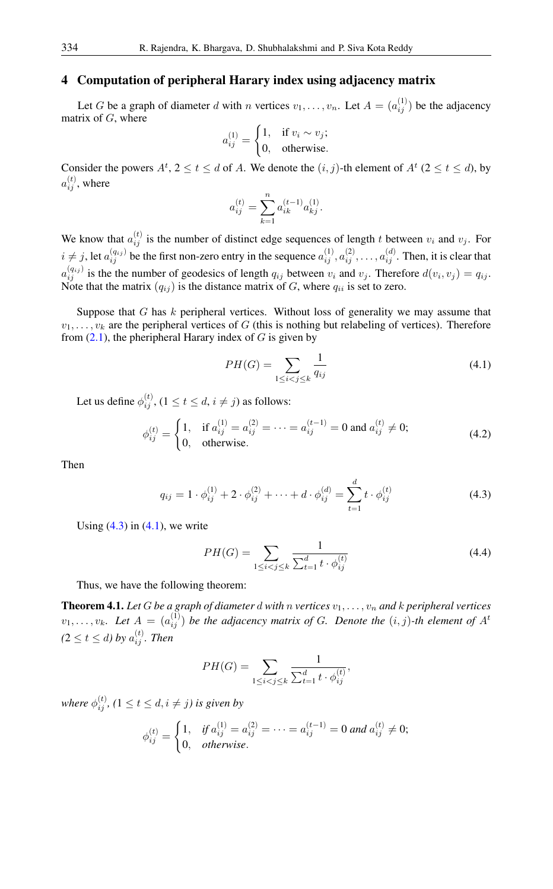# 4 Computation of peripheral Harary index using adjacency matrix

Let G be a graph of diameter d with n vertices  $v_1, \ldots, v_n$ . Let  $A = (a_{ij}^{(1)})$  be the adjacency matrix of  $G$ , where

$$
a_{ij}^{(1)} = \begin{cases} 1, & \text{if } v_i \sim v_j; \\ 0, & \text{otherwise.} \end{cases}
$$

Consider the powers  $A^t$ ,  $2 \le t \le d$  of A. We denote the  $(i, j)$ -th element of  $A^t$  ( $2 \le t \le d$ ), by  $a_{ij}^{(t)}$ , where

$$
a_{ij}^{(t)} = \sum_{k=1}^{n} a_{ik}^{(t-1)} a_{kj}^{(1)}.
$$

We know that  $a_{ij}^{(t)}$  is the number of distinct edge sequences of length t between  $v_i$  and  $v_j$ . For  $i \neq j$ , let  $a_{ij}^{(q_{ij})}$  be the first non-zero entry in the sequence  $a_{ij}^{(1)}, a_{ij}^{(2)}, \ldots, a_{ij}^{(d)}$ . Then, it is clear that  $a_{ij}^{(q_{ij})}$  is the the number of geodesics of length  $q_{ij}$  between  $v_i$  and  $v_j$ . Therefore  $d(v_i, v_j) = q_{ij}$ . Note that the matrix  $(q_{ij})$  is the distance matrix of G, where  $q_{ii}$  is set to zero.

Suppose that  $G$  has  $k$  peripheral vertices. Without loss of generality we may assume that  $v_1, \ldots, v_k$  are the peripheral vertices of G (this is nothing but relabeling of vertices). Therefore from  $(2.1)$ , the pheripheral Harary index of G is given by

<span id="page-11-1"></span>
$$
PH(G) = \sum_{1 \le i < j \le k} \frac{1}{q_{ij}} \tag{4.1}
$$

Let us define  $\phi_{ij}^{(t)}$ ,  $(1 \le t \le d, i \ne j)$  as follows:

$$
\phi_{ij}^{(t)} = \begin{cases} 1, & \text{if } a_{ij}^{(1)} = a_{ij}^{(2)} = \dots = a_{ij}^{(t-1)} = 0 \text{ and } a_{ij}^{(t)} \neq 0; \\ 0, & \text{otherwise.} \end{cases}
$$
(4.2)

Then

$$
q_{ij} = 1 \cdot \phi_{ij}^{(1)} + 2 \cdot \phi_{ij}^{(2)} + \dots + d \cdot \phi_{ij}^{(d)} = \sum_{t=1}^{d} t \cdot \phi_{ij}^{(t)}
$$
(4.3)

Using  $(4.3)$  in  $(4.1)$ , we write

<span id="page-11-0"></span>
$$
PH(G) = \sum_{1 \le i < j \le k} \frac{1}{\sum_{t=1}^{d} t \cdot \phi_{ij}^{(t)}}\tag{4.4}
$$

Thus, we have the following theorem:

**Theorem 4.1.** Let G be a graph of diameter d with n vertices  $v_1, \ldots, v_n$  and k peripheral vertices  $v_1, \ldots, v_k$ . Let  $A = (a_{ij}^{(1)})$  be the adjacency matrix of G. Denote the  $(i, j)$ -th element of  $A<sup>t</sup>$  $(2 \le t \le d)$  by  $a_{ij}^{(t)}$ . Then

$$
PH(G) = \sum_{1 \le i < j \le k} \frac{1}{\sum_{t=1}^{d} t \cdot \phi_{ij}^{(t)}},
$$

where  $\phi_{ij}^{(t)}$ , ( $1 \le t \le d$ ,  $i \ne j$ ) is given by

$$
\phi_{ij}^{(t)} = \begin{cases} 1, & \text{if } a_{ij}^{(1)} = a_{ij}^{(2)} = \dots = a_{ij}^{(t-1)} = 0 \text{ and } a_{ij}^{(t)} \neq 0; \\ 0, & \text{otherwise.} \end{cases}
$$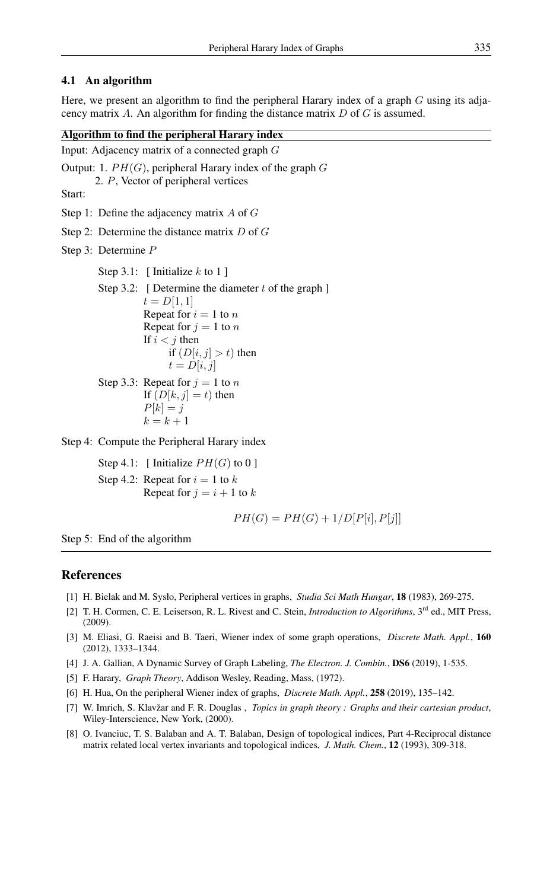### 4.1 An algorithm

Here, we present an algorithm to find the peripheral Harary index of a graph  $G$  using its adjacency matrix  $A$ . An algorithm for finding the distance matrix  $D$  of  $G$  is assumed.

### Algorithm to find the peripheral Harary index

Input: Adjacency matrix of a connected graph G

Output: 1.  $PH(G)$ , peripheral Harary index of the graph G 2. P, Vector of peripheral vertices Start: Step 1: Define the adjacency matrix A of G Step 2: Determine the distance matrix D of G Step 3: Determine P Step 3.1: [ Initialize  $k$  to 1 ] Step 3.2: [ Determine the diameter  $t$  of the graph ]  $t = D[1, 1]$ Repeat for  $i = 1$  to n Repeat for  $j = 1$  to n If  $i < j$  then if  $(D[i, j] > t)$  then  $t = D[i, j]$ Step 3.3: Repeat for  $j = 1$  to n If  $(D[k, j] = t)$  then  $P[k] = j$  $k = k + 1$ 

Step 4: Compute the Peripheral Harary index

Step 4.1: [ Initialize  $PH(G)$  to 0 ] Step 4.2: Repeat for  $i = 1$  to k Repeat for  $j = i + 1$  to k

$$
PH(G) = PH(G) + 1/D[P[i], P[j]]
$$

Step 5: End of the algorithm

## <span id="page-12-0"></span>References

- [1] H. Bielak and M. Sysło, Peripheral vertices in graphs, *Studia Sci Math Hungar*, 18 (1983), 269-275.
- [2] T. H. Cormen, C. E. Leiserson, R. L. Rivest and C. Stein, *Introduction to Algorithms*, 3<sup>rd</sup> ed., MIT Press, (2009).
- <span id="page-12-2"></span>[3] M. Eliasi, G. Raeisi and B. Taeri, Wiener index of some graph operations, *Discrete Math. Appl.*, 160 (2012), 1333–1344.
- [4] J. A. Gallian, A Dynamic Survey of Graph Labeling, *The Electron. J. Combin.*, DS6 (2019), 1-535.
- <span id="page-12-1"></span>[5] F. Harary, *Graph Theory*, Addison Wesley, Reading, Mass, (1972).
- <span id="page-12-3"></span>[6] H. Hua, On the peripheral Wiener index of graphs, *Discrete Math. Appl.*, 258 (2019), 135–142.
- <span id="page-12-5"></span>[7] W. Imrich, S. Klavžar and F. R. Douglas , *Topics in graph theory : Graphs and their cartesian product*, Wiley-Interscience, New York, (2000).
- <span id="page-12-4"></span>[8] O. Ivanciuc, T. S. Balaban and A. T. Balaban, Design of topological indices, Part 4-Reciprocal distance matrix related local vertex invariants and topological indices, *J. Math. Chem.*, 12 (1993), 309-318.